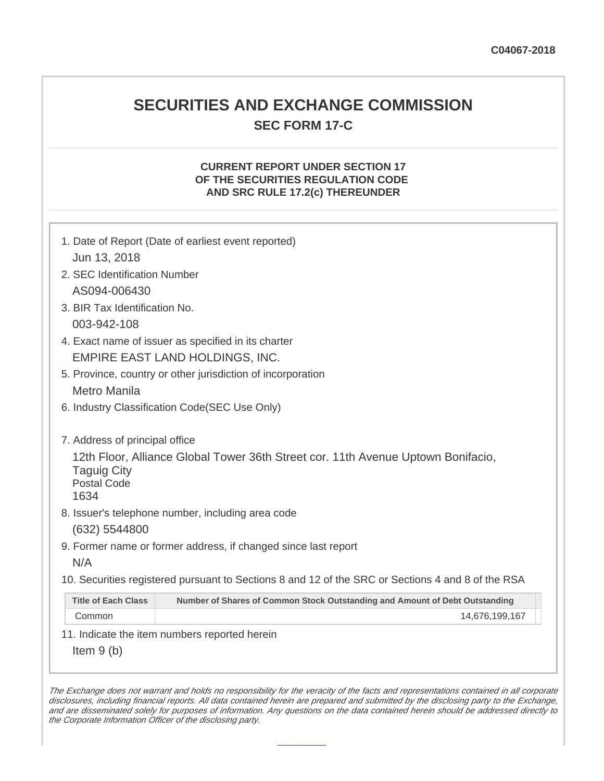## **SECURITIES AND EXCHANGE COMMISSION SEC FORM 17-C**

## **CURRENT REPORT UNDER SECTION 17 OF THE SECURITIES REGULATION CODE AND SRC RULE 17.2(c) THEREUNDER**

| 1. Date of Report (Date of earliest event reported)<br>Jun 13, 2018                                                                  |  |  |  |  |
|--------------------------------------------------------------------------------------------------------------------------------------|--|--|--|--|
| 2. SEC Identification Number                                                                                                         |  |  |  |  |
| AS094-006430                                                                                                                         |  |  |  |  |
| 3. BIR Tax Identification No.                                                                                                        |  |  |  |  |
| 003-942-108                                                                                                                          |  |  |  |  |
| 4. Exact name of issuer as specified in its charter                                                                                  |  |  |  |  |
| EMPIRE EAST LAND HOLDINGS, INC.                                                                                                      |  |  |  |  |
| 5. Province, country or other jurisdiction of incorporation                                                                          |  |  |  |  |
| <b>Metro Manila</b>                                                                                                                  |  |  |  |  |
| 6. Industry Classification Code(SEC Use Only)                                                                                        |  |  |  |  |
|                                                                                                                                      |  |  |  |  |
| 7. Address of principal office                                                                                                       |  |  |  |  |
| 12th Floor, Alliance Global Tower 36th Street cor. 11th Avenue Uptown Bonifacio,<br><b>Taguig City</b><br><b>Postal Code</b><br>1634 |  |  |  |  |
| 8. Issuer's telephone number, including area code                                                                                    |  |  |  |  |
| (632) 5544800                                                                                                                        |  |  |  |  |
| 9. Former name or former address, if changed since last report                                                                       |  |  |  |  |
| N/A                                                                                                                                  |  |  |  |  |
| 10. Securities registered pursuant to Sections 8 and 12 of the SRC or Sections 4 and 8 of the RSA                                    |  |  |  |  |
| <b>Title of Each Class</b><br>Number of Shares of Common Stock Outstanding and Amount of Debt Outstanding                            |  |  |  |  |
| Common<br>14,676,199,167                                                                                                             |  |  |  |  |
| 11. Indicate the item numbers reported herein                                                                                        |  |  |  |  |
| Item $9(b)$                                                                                                                          |  |  |  |  |

The Exchange does not warrant and holds no responsibility for the veracity of the facts and representations contained in all corporate disclosures, including financial reports. All data contained herein are prepared and submitted by the disclosing party to the Exchange, and are disseminated solely for purposes of information. Any questions on the data contained herein should be addressed directly to the Corporate Information Officer of the disclosing party.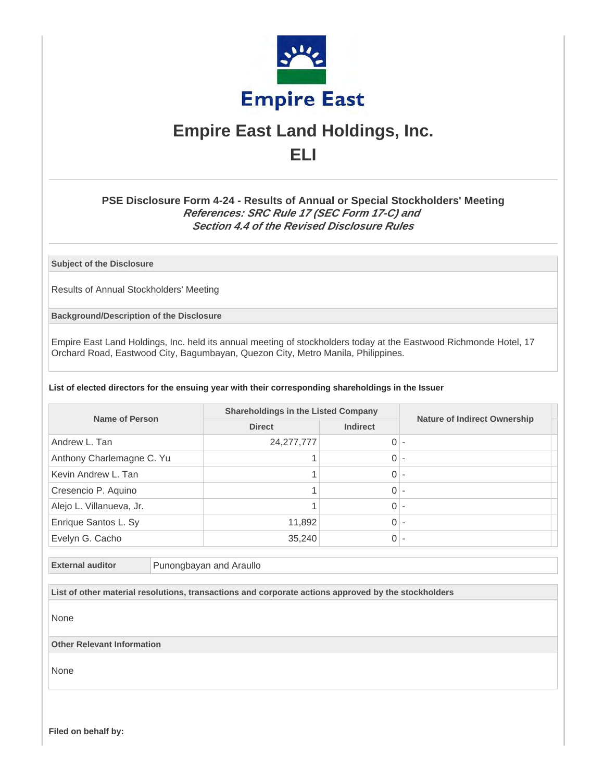

# **Empire East Land Holdings, Inc. ELI**

## **PSE Disclosure Form 4-24 - Results of Annual or Special Stockholders' Meeting References: SRC Rule 17 (SEC Form 17-C) and Section 4.4 of the Revised Disclosure Rules**

**Subject of the Disclosure**

Results of Annual Stockholders' Meeting

**Background/Description of the Disclosure**

Empire East Land Holdings, Inc. held its annual meeting of stockholders today at the Eastwood Richmonde Hotel, 17 Orchard Road, Eastwood City, Bagumbayan, Quezon City, Metro Manila, Philippines.

#### **List of elected directors for the ensuing year with their corresponding shareholdings in the Issuer**

| <b>Name of Person</b>     | <b>Shareholdings in the Listed Company</b> |                |                 |                                     |
|---------------------------|--------------------------------------------|----------------|-----------------|-------------------------------------|
|                           |                                            | <b>Direct</b>  | <b>Indirect</b> | <b>Nature of Indirect Ownership</b> |
| Andrew L. Tan             | 24, 277, 777                               | $0 -$          |                 |                                     |
| Anthony Charlemagne C. Yu |                                            | $0 -$          |                 |                                     |
| Kevin Andrew L. Tan       |                                            | $\Omega$       |                 |                                     |
| Cresencio P. Aquino       |                                            | $\overline{0}$ |                 |                                     |
| Alejo L. Villanueva, Jr.  |                                            | $0 -$          |                 |                                     |
| Enrique Santos L. Sy      | 11,892                                     | $0 -$          |                 |                                     |
| Evelyn G. Cacho           | 35,240                                     | 0 -            |                 |                                     |

**External auditor** Punongbayan and Araullo

**List of other material resolutions, transactions and corporate actions approved by the stockholders**

None

**Other Relevant Information**

None

**Filed on behalf by:**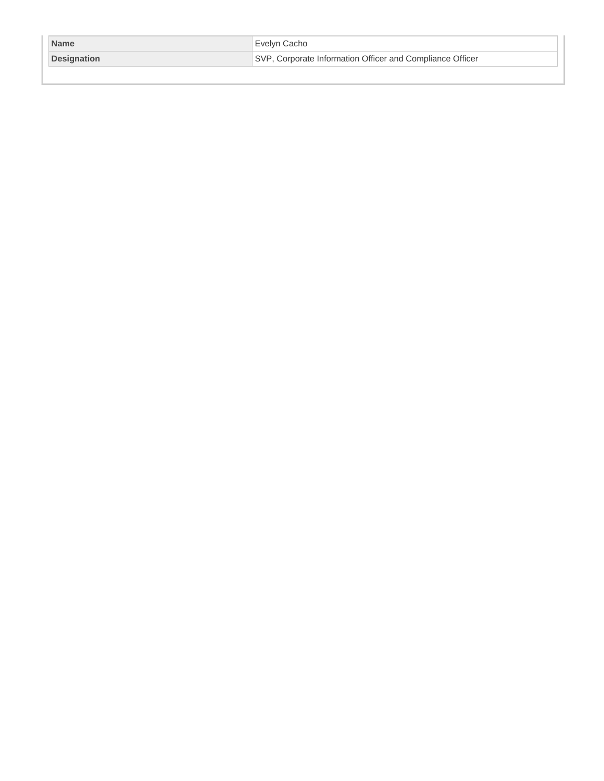| <b>Name</b>        | Evelyn Cacho                                              |
|--------------------|-----------------------------------------------------------|
| <b>Designation</b> | SVP, Corporate Information Officer and Compliance Officer |
|                    |                                                           |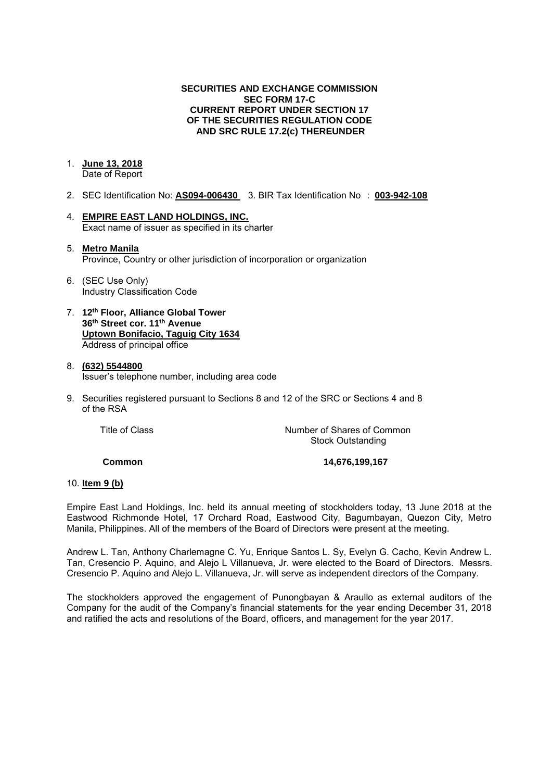## **SECURITIES AND EXCHANGE COMMISSION SEC FORM 17-C CURRENT REPORT UNDER SECTION 17 OF THE SECURITIES REGULATION CODE AND SRC RULE 17.2(c) THEREUNDER**

## 1. **June 13, 2018**

Date of Report

- 2. SEC Identification No: **AS094-006430** 3. BIR Tax Identification No : **003-942-108**
- 4. **EMPIRE EAST LAND HOLDINGS, INC.**  Exact name of issuer as specified in its charter

### 5. **Metro Manila**  Province, Country or other jurisdiction of incorporation or organization

- 6. (SEC Use Only) Industry Classification Code
- 7. **12th Floor, Alliance Global Tower 36th Street cor. 11th Avenue Uptown Bonifacio, Taguig City 1634** Address of principal office

#### 8. **(632) 5544800**  Issuer's telephone number, including area code

9. Securities registered pursuant to Sections 8 and 12 of the SRC or Sections 4 and 8 of the RSA

| Title of Class | Number of Shares of Common |
|----------------|----------------------------|
|                | <b>Stock Outstanding</b>   |

**Common 14,676,199,167** 

### 10. **Item 9 (b)**

Empire East Land Holdings, Inc. held its annual meeting of stockholders today, 13 June 2018 at the Eastwood Richmonde Hotel, 17 Orchard Road, Eastwood City, Bagumbayan, Quezon City, Metro Manila, Philippines. All of the members of the Board of Directors were present at the meeting.

Andrew L. Tan, Anthony Charlemagne C. Yu, Enrique Santos L. Sy, Evelyn G. Cacho, Kevin Andrew L. Tan, Cresencio P. Aquino, and Alejo L Villanueva, Jr. were elected to the Board of Directors. Messrs. Cresencio P. Aquino and Alejo L. Villanueva, Jr. will serve as independent directors of the Company.

The stockholders approved the engagement of Punongbayan & Araullo as external auditors of the Company for the audit of the Company's financial statements for the year ending December 31, 2018 and ratified the acts and resolutions of the Board, officers, and management for the year 2017.